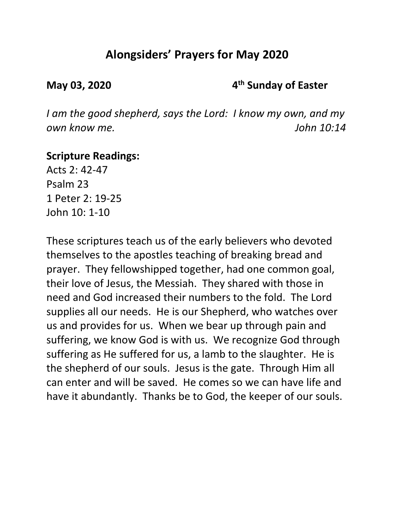# **Alongsiders' Prayers for May 2020**

**May 03, 2020 4th Sunday of Easter**

*I am the good shepherd, says the Lord: I know my own, and my own know me. John 10:14*

### **Scripture Readings:**

Acts 2: 42-47 Psalm 23 1 Peter 2: 19-25 John 10: 1-10

These scriptures teach us of the early believers who devoted themselves to the apostles teaching of breaking bread and prayer. They fellowshipped together, had one common goal, their love of Jesus, the Messiah. They shared with those in need and God increased their numbers to the fold. The Lord supplies all our needs. He is our Shepherd, who watches over us and provides for us. When we bear up through pain and suffering, we know God is with us. We recognize God through suffering as He suffered for us, a lamb to the slaughter. He is the shepherd of our souls. Jesus is the gate. Through Him all can enter and will be saved. He comes so we can have life and have it abundantly. Thanks be to God, the keeper of our souls.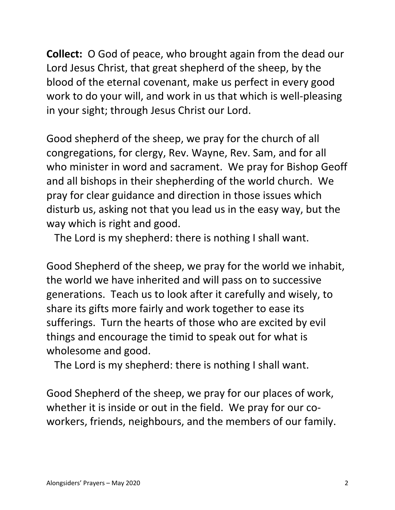**Collect:** O God of peace, who brought again from the dead our Lord Jesus Christ, that great shepherd of the sheep, by the blood of the eternal covenant, make us perfect in every good work to do your will, and work in us that which is well-pleasing in your sight; through Jesus Christ our Lord.

Good shepherd of the sheep, we pray for the church of all congregations, for clergy, Rev. Wayne, Rev. Sam, and for all who minister in word and sacrament. We pray for Bishop Geoff and all bishops in their shepherding of the world church. We pray for clear guidance and direction in those issues which disturb us, asking not that you lead us in the easy way, but the way which is right and good.

The Lord is my shepherd: there is nothing I shall want.

Good Shepherd of the sheep, we pray for the world we inhabit, the world we have inherited and will pass on to successive generations. Teach us to look after it carefully and wisely, to share its gifts more fairly and work together to ease its sufferings. Turn the hearts of those who are excited by evil things and encourage the timid to speak out for what is wholesome and good.

The Lord is my shepherd: there is nothing I shall want.

Good Shepherd of the sheep, we pray for our places of work, whether it is inside or out in the field. We pray for our coworkers, friends, neighbours, and the members of our family.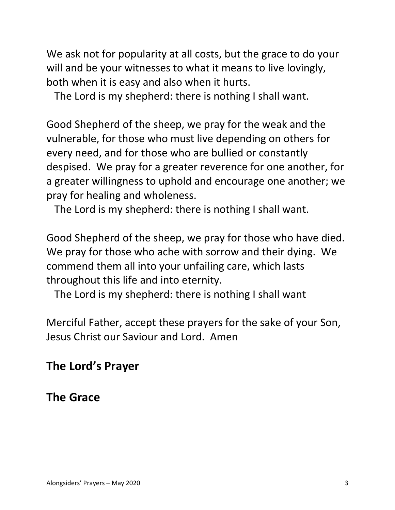We ask not for popularity at all costs, but the grace to do your will and be your witnesses to what it means to live lovingly, both when it is easy and also when it hurts.

The Lord is my shepherd: there is nothing I shall want.

Good Shepherd of the sheep, we pray for the weak and the vulnerable, for those who must live depending on others for every need, and for those who are bullied or constantly despised. We pray for a greater reverence for one another, for a greater willingness to uphold and encourage one another; we pray for healing and wholeness.

The Lord is my shepherd: there is nothing I shall want.

Good Shepherd of the sheep, we pray for those who have died. We pray for those who ache with sorrow and their dying. We commend them all into your unfailing care, which lasts throughout this life and into eternity.

The Lord is my shepherd: there is nothing I shall want

Merciful Father, accept these prayers for the sake of your Son, Jesus Christ our Saviour and Lord. Amen

# **The Lord's Prayer**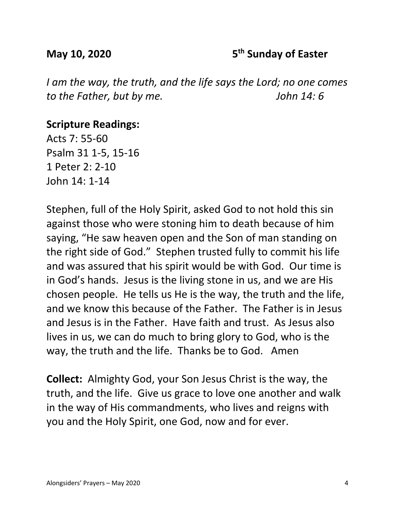#### **May 10, 2020 5th Sunday of Easter**

*I am the way, the truth, and the life says the Lord; no one comes to the Father, but by me. John 14: 6*

#### **Scripture Readings:**

Acts 7: 55-60 Psalm 31 1-5, 15-16 1 Peter 2: 2-10 John 14: 1-14

Stephen, full of the Holy Spirit, asked God to not hold this sin against those who were stoning him to death because of him saying, "He saw heaven open and the Son of man standing on the right side of God." Stephen trusted fully to commit his life and was assured that his spirit would be with God. Our time is in God's hands. Jesus is the living stone in us, and we are His chosen people. He tells us He is the way, the truth and the life, and we know this because of the Father. The Father is in Jesus and Jesus is in the Father. Have faith and trust. As Jesus also lives in us, we can do much to bring glory to God, who is the way, the truth and the life. Thanks be to God. Amen

**Collect:** Almighty God, your Son Jesus Christ is the way, the truth, and the life. Give us grace to love one another and walk in the way of His commandments, who lives and reigns with you and the Holy Spirit, one God, now and for ever.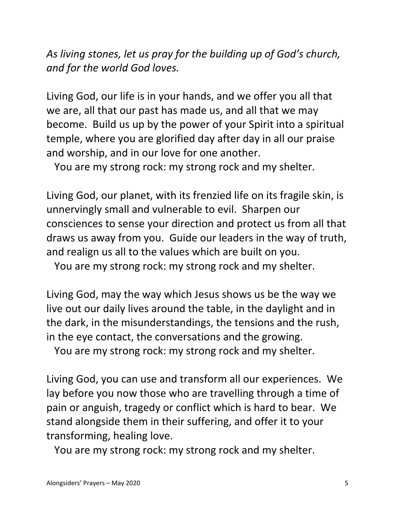*As living stones, let us pray for the building up of God's church, and for the world God loves.*

Living God, our life is in your hands, and we offer you all that we are, all that our past has made us, and all that we may become. Build us up by the power of your Spirit into a spiritual temple, where you are glorified day after day in all our praise and worship, and in our love for one another.

You are my strong rock: my strong rock and my shelter.

Living God, our planet, with its frenzied life on its fragile skin, is unnervingly small and vulnerable to evil. Sharpen our consciences to sense your direction and protect us from all that draws us away from you. Guide our leaders in the way of truth, and realign us all to the values which are built on you.

You are my strong rock: my strong rock and my shelter.

Living God, may the way which Jesus shows us be the way we live out our daily lives around the table, in the daylight and in the dark, in the misunderstandings, the tensions and the rush, in the eye contact, the conversations and the growing.

You are my strong rock: my strong rock and my shelter.

Living God, you can use and transform all our experiences. We lay before you now those who are travelling through a time of pain or anguish, tragedy or conflict which is hard to bear. We stand alongside them in their suffering, and offer it to your transforming, healing love.

You are my strong rock: my strong rock and my shelter.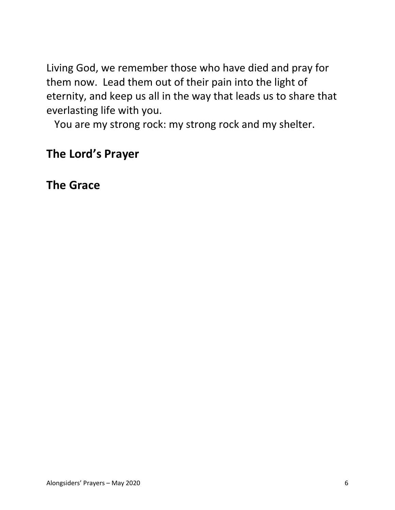Living God, we remember those who have died and pray for them now. Lead them out of their pain into the light of eternity, and keep us all in the way that leads us to share that everlasting life with you.

You are my strong rock: my strong rock and my shelter.

# **The Lord's Prayer**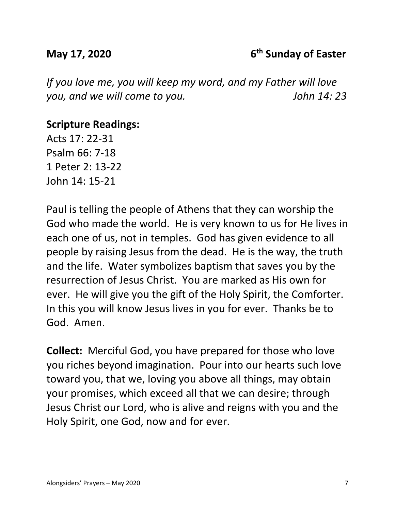### **May 17, 2020** 6<sup>th</sup> Sunday of Easter

*If you love me, you will keep my word, and my Father will love you, and we will come to you. John 14: 23*

## **Scripture Readings:**

Acts 17: 22-31 Psalm 66: 7-18 1 Peter 2: 13-22 John 14: 15-21

Paul is telling the people of Athens that they can worship the God who made the world. He is very known to us for He lives in each one of us, not in temples. God has given evidence to all people by raising Jesus from the dead. He is the way, the truth and the life. Water symbolizes baptism that saves you by the resurrection of Jesus Christ. You are marked as His own for ever. He will give you the gift of the Holy Spirit, the Comforter. In this you will know Jesus lives in you for ever. Thanks be to God. Amen.

**Collect:** Merciful God, you have prepared for those who love you riches beyond imagination. Pour into our hearts such love toward you, that we, loving you above all things, may obtain your promises, which exceed all that we can desire; through Jesus Christ our Lord, who is alive and reigns with you and the Holy Spirit, one God, now and for ever.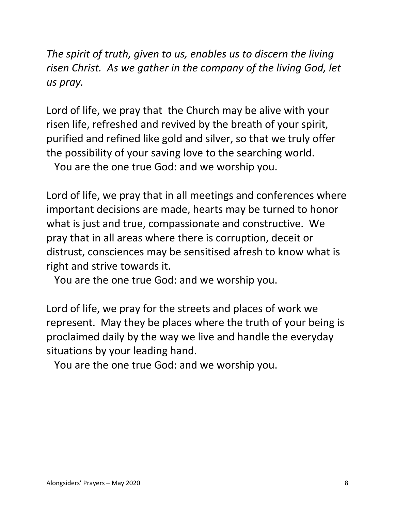*The spirit of truth, given to us, enables us to discern the living risen Christ. As we gather in the company of the living God, let us pray.*

Lord of life, we pray that the Church may be alive with your risen life, refreshed and revived by the breath of your spirit, purified and refined like gold and silver, so that we truly offer the possibility of your saving love to the searching world.

You are the one true God: and we worship you.

Lord of life, we pray that in all meetings and conferences where important decisions are made, hearts may be turned to honor what is just and true, compassionate and constructive. We pray that in all areas where there is corruption, deceit or distrust, consciences may be sensitised afresh to know what is right and strive towards it.

You are the one true God: and we worship you.

Lord of life, we pray for the streets and places of work we represent. May they be places where the truth of your being is proclaimed daily by the way we live and handle the everyday situations by your leading hand.

You are the one true God: and we worship you.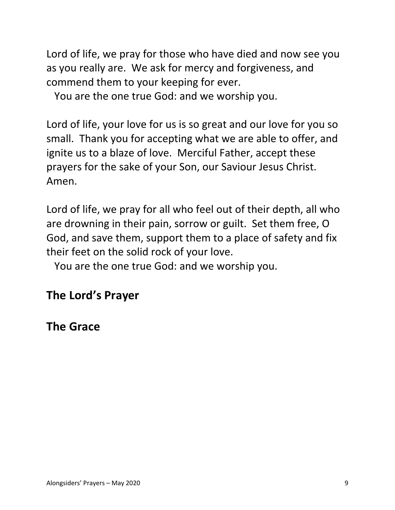Lord of life, we pray for those who have died and now see you as you really are. We ask for mercy and forgiveness, and commend them to your keeping for ever.

You are the one true God: and we worship you.

Lord of life, your love for us is so great and our love for you so small. Thank you for accepting what we are able to offer, and ignite us to a blaze of love. Merciful Father, accept these prayers for the sake of your Son, our Saviour Jesus Christ. Amen.

Lord of life, we pray for all who feel out of their depth, all who are drowning in their pain, sorrow or guilt. Set them free, O God, and save them, support them to a place of safety and fix their feet on the solid rock of your love.

You are the one true God: and we worship you.

# **The Lord's Prayer**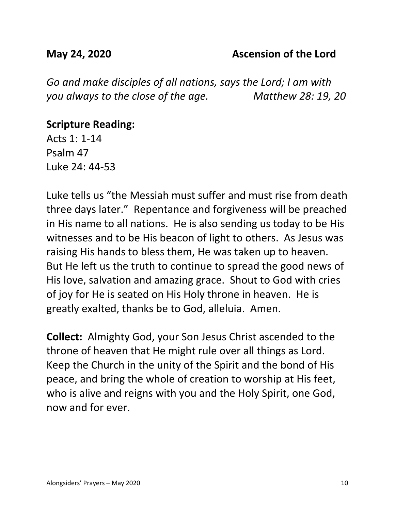#### **May 24, 2020 Ascension of the Lord**

*Go and make disciples of all nations, says the Lord; I am with you always to the close of the age. Matthew 28: 19, 20*

### **Scripture Reading:**

Acts 1: 1-14 Psalm 47 Luke 24: 44-53

Luke tells us "the Messiah must suffer and must rise from death three days later." Repentance and forgiveness will be preached in His name to all nations. He is also sending us today to be His witnesses and to be His beacon of light to others. As Jesus was raising His hands to bless them, He was taken up to heaven. But He left us the truth to continue to spread the good news of His love, salvation and amazing grace. Shout to God with cries of joy for He is seated on His Holy throne in heaven. He is greatly exalted, thanks be to God, alleluia. Amen.

**Collect:** Almighty God, your Son Jesus Christ ascended to the throne of heaven that He might rule over all things as Lord. Keep the Church in the unity of the Spirit and the bond of His peace, and bring the whole of creation to worship at His feet, who is alive and reigns with you and the Holy Spirit, one God, now and for ever.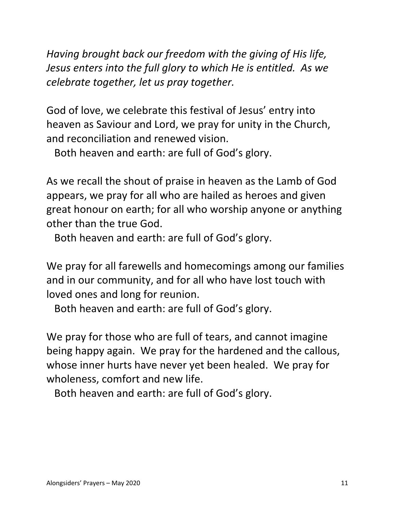*Having brought back our freedom with the giving of His life, Jesus enters into the full glory to which He is entitled. As we celebrate together, let us pray together.*

God of love, we celebrate this festival of Jesus' entry into heaven as Saviour and Lord, we pray for unity in the Church, and reconciliation and renewed vision.

Both heaven and earth: are full of God's glory.

As we recall the shout of praise in heaven as the Lamb of God appears, we pray for all who are hailed as heroes and given great honour on earth; for all who worship anyone or anything other than the true God.

Both heaven and earth: are full of God's glory.

We pray for all farewells and homecomings among our families and in our community, and for all who have lost touch with loved ones and long for reunion.

Both heaven and earth: are full of God's glory.

We pray for those who are full of tears, and cannot imagine being happy again. We pray for the hardened and the callous, whose inner hurts have never yet been healed. We pray for wholeness, comfort and new life.

Both heaven and earth: are full of God's glory.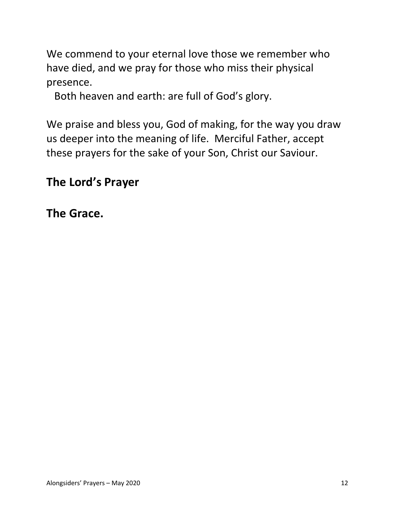We commend to your eternal love those we remember who have died, and we pray for those who miss their physical presence.

Both heaven and earth: are full of God's glory.

We praise and bless you, God of making, for the way you draw us deeper into the meaning of life. Merciful Father, accept these prayers for the sake of your Son, Christ our Saviour.

# **The Lord's Prayer**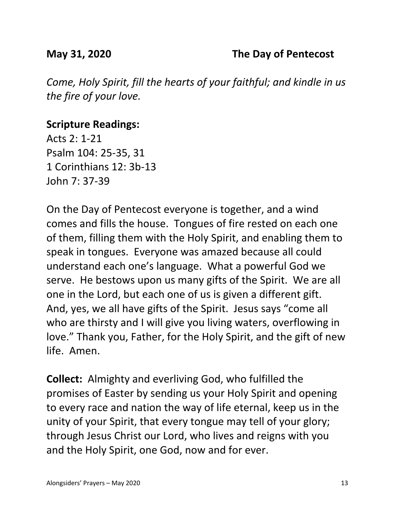*Come, Holy Spirit, fill the hearts of your faithful; and kindle in us the fire of your love.*

## **Scripture Readings:**

Acts 2: 1-21 Psalm 104: 25-35, 31 1 Corinthians 12: 3b-13 John 7: 37-39

On the Day of Pentecost everyone is together, and a wind comes and fills the house. Tongues of fire rested on each one of them, filling them with the Holy Spirit, and enabling them to speak in tongues. Everyone was amazed because all could understand each one's language. What a powerful God we serve. He bestows upon us many gifts of the Spirit. We are all one in the Lord, but each one of us is given a different gift. And, yes, we all have gifts of the Spirit. Jesus says "come all who are thirsty and I will give you living waters, overflowing in love." Thank you, Father, for the Holy Spirit, and the gift of new life. Amen.

**Collect:** Almighty and everliving God, who fulfilled the promises of Easter by sending us your Holy Spirit and opening to every race and nation the way of life eternal, keep us in the unity of your Spirit, that every tongue may tell of your glory; through Jesus Christ our Lord, who lives and reigns with you and the Holy Spirit, one God, now and for ever.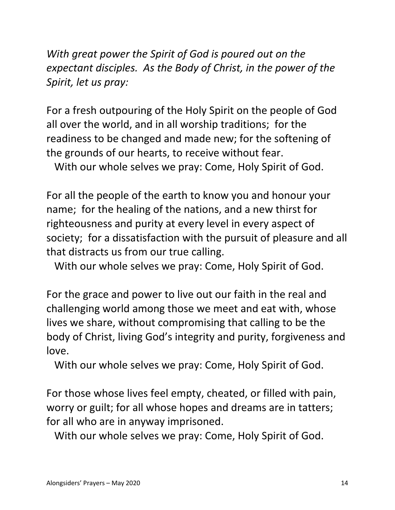*With great power the Spirit of God is poured out on the expectant disciples. As the Body of Christ, in the power of the Spirit, let us pray:*

For a fresh outpouring of the Holy Spirit on the people of God all over the world, and in all worship traditions; for the readiness to be changed and made new; for the softening of the grounds of our hearts, to receive without fear.

With our whole selves we pray: Come, Holy Spirit of God.

For all the people of the earth to know you and honour your name; for the healing of the nations, and a new thirst for righteousness and purity at every level in every aspect of society; for a dissatisfaction with the pursuit of pleasure and all that distracts us from our true calling.

With our whole selves we pray: Come, Holy Spirit of God.

For the grace and power to live out our faith in the real and challenging world among those we meet and eat with, whose lives we share, without compromising that calling to be the body of Christ, living God's integrity and purity, forgiveness and love.

With our whole selves we pray: Come, Holy Spirit of God.

For those whose lives feel empty, cheated, or filled with pain, worry or guilt; for all whose hopes and dreams are in tatters; for all who are in anyway imprisoned.

With our whole selves we pray: Come, Holy Spirit of God.